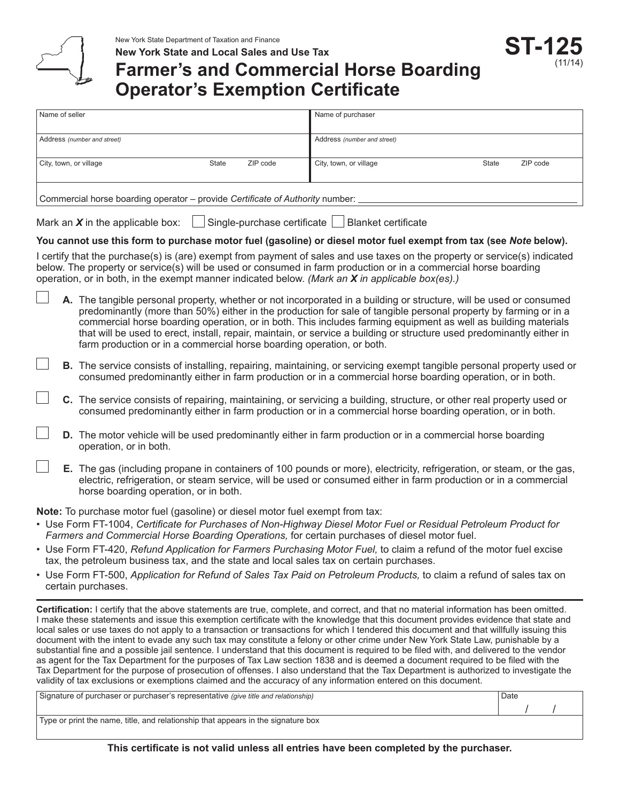

# **Farmer's and Commercial Horse Boarding Operator's Exemption Certificate**

**ST-125**

(11/14)

| Name of seller                                                                                                    |                                                                                                                                                                                                                                                                                                                                                                                                                                                                                                                                                              | Name of purchaser                                                                                                                                                                                                                         |  |  |  |  |
|-------------------------------------------------------------------------------------------------------------------|--------------------------------------------------------------------------------------------------------------------------------------------------------------------------------------------------------------------------------------------------------------------------------------------------------------------------------------------------------------------------------------------------------------------------------------------------------------------------------------------------------------------------------------------------------------|-------------------------------------------------------------------------------------------------------------------------------------------------------------------------------------------------------------------------------------------|--|--|--|--|
| Address (number and street)                                                                                       |                                                                                                                                                                                                                                                                                                                                                                                                                                                                                                                                                              | Address (number and street)                                                                                                                                                                                                               |  |  |  |  |
| City, town, or village<br><b>State</b><br>ZIP code                                                                |                                                                                                                                                                                                                                                                                                                                                                                                                                                                                                                                                              | City, town, or village<br><b>State</b><br>ZIP code                                                                                                                                                                                        |  |  |  |  |
| Commercial horse boarding operator - provide Certificate of Authority number:                                     |                                                                                                                                                                                                                                                                                                                                                                                                                                                                                                                                                              |                                                                                                                                                                                                                                           |  |  |  |  |
| Single-purchase certificate<br><b>Blanket certificate</b><br>Mark an $X$ in the applicable box:                   |                                                                                                                                                                                                                                                                                                                                                                                                                                                                                                                                                              |                                                                                                                                                                                                                                           |  |  |  |  |
| You cannot use this form to purchase motor fuel (gasoline) or diesel motor fuel exempt from tax (see Note below). |                                                                                                                                                                                                                                                                                                                                                                                                                                                                                                                                                              |                                                                                                                                                                                                                                           |  |  |  |  |
|                                                                                                                   | below. The property or service(s) will be used or consumed in farm production or in a commercial horse boarding<br>operation, or in both, in the exempt manner indicated below. (Mark an $X$ in applicable box(es).)                                                                                                                                                                                                                                                                                                                                         | I certify that the purchase(s) is (are) exempt from payment of sales and use taxes on the property or service(s) indicated                                                                                                                |  |  |  |  |
|                                                                                                                   | A. The tangible personal property, whether or not incorporated in a building or structure, will be used or consumed<br>predominantly (more than 50%) either in the production for sale of tangible personal property by farming or in a<br>commercial horse boarding operation, or in both. This includes farming equipment as well as building materials<br>that will be used to erect, install, repair, maintain, or service a building or structure used predominantly either in<br>farm production or in a commercial horse boarding operation, or both. |                                                                                                                                                                                                                                           |  |  |  |  |
|                                                                                                                   |                                                                                                                                                                                                                                                                                                                                                                                                                                                                                                                                                              | B. The service consists of installing, repairing, maintaining, or servicing exempt tangible personal property used or<br>consumed predominantly either in farm production or in a commercial horse boarding operation, or in both.        |  |  |  |  |
|                                                                                                                   |                                                                                                                                                                                                                                                                                                                                                                                                                                                                                                                                                              | C. The service consists of repairing, maintaining, or servicing a building, structure, or other real property used or<br>consumed predominantly either in farm production or in a commercial horse boarding operation, or in both.        |  |  |  |  |
|                                                                                                                   | operation, or in both.                                                                                                                                                                                                                                                                                                                                                                                                                                                                                                                                       | D. The motor vehicle will be used predominantly either in farm production or in a commercial horse boarding                                                                                                                               |  |  |  |  |
|                                                                                                                   | horse boarding operation, or in both.                                                                                                                                                                                                                                                                                                                                                                                                                                                                                                                        | E. The gas (including propane in containers of 100 pounds or more), electricity, refrigeration, or steam, or the gas,<br>electric, refrigeration, or steam service, will be used or consumed either in farm production or in a commercial |  |  |  |  |
|                                                                                                                   | <b>Note:</b> To purchase motor fuel (gasoline) or diesel motor fuel exempt from tax:<br>Farmers and Commercial Horse Boarding Operations, for certain purchases of diesel motor fuel.<br>tax, the petroleum business tax, and the state and local sales tax on certain purchases.                                                                                                                                                                                                                                                                            | • Use Form FT-1004, Certificate for Purchases of Non-Highway Diesel Motor Fuel or Residual Petroleum Product for<br>• Use Form FT-420, Refund Application for Farmers Purchasing Motor Fuel, to claim a refund of the motor fuel excise   |  |  |  |  |

• Use Form FT‑500, *Application for Refund of Sales Tax Paid on Petroleum Products,* to claim a refund of sales tax on certain purchases.

**Certification:** I certify that the above statements are true, complete, and correct, and that no material information has been omitted. I make these statements and issue this exemption certificate with the knowledge that this document provides evidence that state and local sales or use taxes do not apply to a transaction or transactions for which I tendered this document and that willfully issuing this document with the intent to evade any such tax may constitute a felony or other crime under New York State Law, punishable by a substantial fine and a possible jail sentence. I understand that this document is required to be filed with, and delivered to the vendor as agent for the Tax Department for the purposes of Tax Law section 1838 and is deemed a document required to be filed with the Tax Department for the purpose of prosecution of offenses. I also understand that the Tax Department is authorized to investigate the validity of tax exclusions or exemptions claimed and the accuracy of any information entered on this document.

| Signature of purchaser or purchaser's representative (give title and relationship) |  | Date |  |
|------------------------------------------------------------------------------------|--|------|--|
|                                                                                    |  |      |  |
| Type or print the name, title, and relationship that appears in the signature box  |  |      |  |

**This certificate is not valid unless all entries have been completed by the purchaser.**